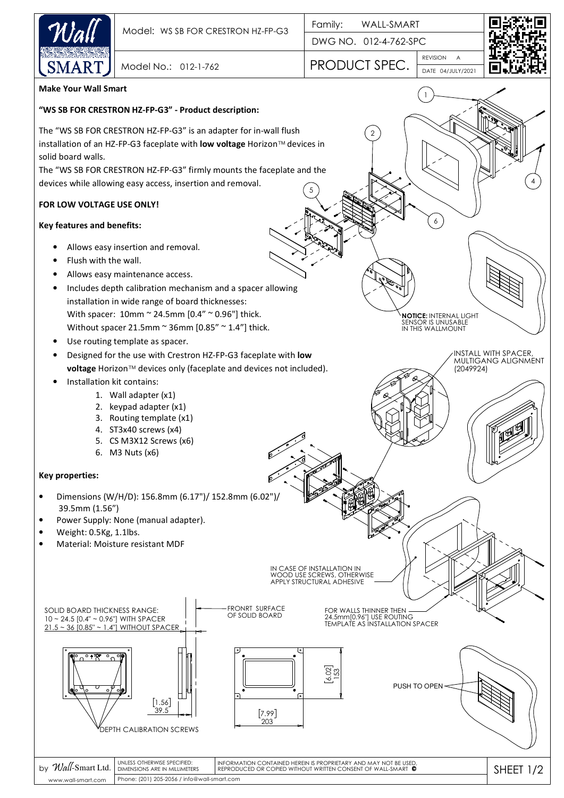

DWG NO. 012-4-762-SPC

2

REVISION Model No.: 012-1-762 **PRODUCT SPEC.** 



4

A

DATE 04/JULY/2021

1

**NOTICE:** INTERNAL LIGHT SENSOR IS UNUSABLE IN THIS WALLMOUNT

INSTALL WITH SPACER, MULTIGANG ALIGNMENT

(2049924)

6

**Make Your Wall Smart**

## **"WS SB FOR CRESTRON HZ-FP-G3" - Product description:**

The "WS SB FOR CRESTRON HZ-FP-G3" is an adapter for in-wall flush installation of an HZ-FP-G3 faceplate with **low voltage** Horizon™ devices in solid board walls.

The "WS SB FOR CRESTRON HZ-FP-G3" firmly mounts the faceplate and the devices while allowing easy access, insertion and removal. 5

## **FOR LOW VOLTAGE USE ONLY!**

## **Key features and benefits:**

- Allows easy insertion and removal.
- Flush with the wall.
- Allows easy maintenance access.
- Includes depth calibration mechanism and a spacer allowing installation in wide range of board thicknesses: With spacer: 10mm ~ 24.5mm [0.4" ~ 0.96"] thick. Without spacer 21.5mm  $\sim$  36mm [0.85"  $\sim$  1.4"] thick.
- Use routing template as spacer.
- Designed for the use with Crestron HZ-FP-G3 faceplate with **low voltage** Horizon™ devices only (faceplate and devices not included).
- Installation kit contains:
	- 1. Wall adapter (x1)
	- 2. keypad adapter (x1)
	- 3. Routing template (x1)
	- 4. ST3x40 screws (x4)
	- 5. CS M3X12 Screws (x6)
	- 6. M3 Nuts (x6)

## **Key properties:**

- Dimensions (W/H/D): 156.8mm (6.17")/ 152.8mm (6.02")/ 39.5mm (1.56")
- Power Supply: None (manual adapter).
- Weight: 0.5Kg, 1.1lbs.
- Material: Moisture resistant MDF



Phone: (201) 205-2056 / info@wall-smart.com www.wall-smart.com